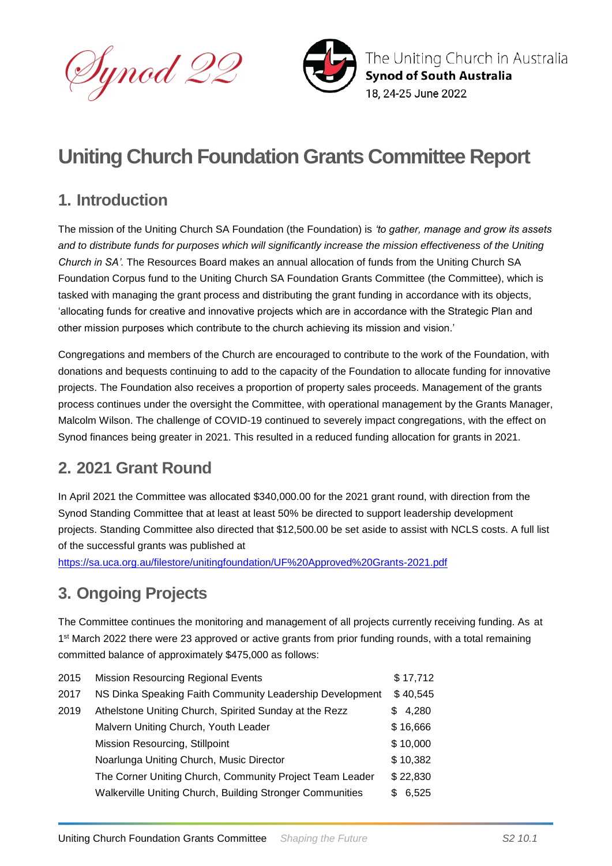



# **Uniting Church Foundation Grants Committee Report**

## **1. Introduction**

The mission of the Uniting Church SA Foundation (the Foundation) is *'to gather, manage and grow its assets and to distribute funds for purposes which will significantly increase the mission effectiveness of the Uniting Church in SA'.* The Resources Board makes an annual allocation of funds from the Uniting Church SA Foundation Corpus fund to the Uniting Church SA Foundation Grants Committee (the Committee), which is tasked with managing the grant process and distributing the grant funding in accordance with its objects, 'allocating funds for creative and innovative projects which are in accordance with the Strategic Plan and other mission purposes which contribute to the church achieving its mission and vision.'

Congregations and members of the Church are encouraged to contribute to the work of the Foundation, with donations and bequests continuing to add to the capacity of the Foundation to allocate funding for innovative projects. The Foundation also receives a proportion of property sales proceeds. Management of the grants process continues under the oversight the Committee, with operational management by the Grants Manager, Malcolm Wilson. The challenge of COVID-19 continued to severely impact congregations, with the effect on Synod finances being greater in 2021. This resulted in a reduced funding allocation for grants in 2021.

## **2. 2021 Grant Round**

In April 2021 the Committee was allocated \$340,000.00 for the 2021 grant round, with direction from the Synod Standing Committee that at least at least 50% be directed to support leadership development projects. Standing Committee also directed that \$12,500.00 be set aside to assist with NCLS costs. A full list of the successful grants was published at

<https://sa.uca.org.au/filestore/unitingfoundation/UF%20Approved%20Grants-2021.pdf>

## **3. Ongoing Projects**

The Committee continues the monitoring and management of all projects currently receiving funding. As at 1<sup>st</sup> March 2022 there were 23 approved or active grants from prior funding rounds, with a total remaining committed balance of approximately \$475,000 as follows:

| <b>Mission Resourcing Regional Events</b>                 | \$17,712    |
|-----------------------------------------------------------|-------------|
| NS Dinka Speaking Faith Community Leadership Development  | \$40,545    |
| Athelstone Uniting Church, Spirited Sunday at the Rezz    | 4,280<br>S. |
| Malvern Uniting Church, Youth Leader                      | \$16,666    |
| Mission Resourcing, Stillpoint                            | \$10,000    |
| Noarlunga Uniting Church, Music Director                  | \$10,382    |
| The Corner Uniting Church, Community Project Team Leader  | \$22,830    |
| Walkerville Uniting Church, Building Stronger Communities | 6,525<br>S. |
|                                                           |             |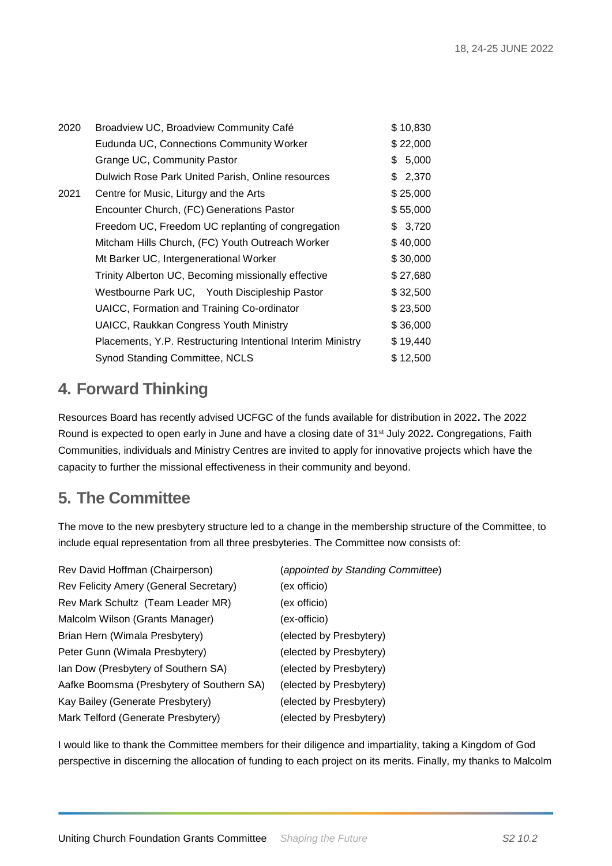| 2020 | Broadview UC, Broadview Community Café                      | \$10,830 |
|------|-------------------------------------------------------------|----------|
|      | Eudunda UC, Connections Community Worker                    | \$22,000 |
|      | Grange UC, Community Pastor                                 | \$5,000  |
|      | Dulwich Rose Park United Parish, Online resources           | \$2,370  |
| 2021 | Centre for Music, Liturgy and the Arts                      | \$25,000 |
|      | Encounter Church, (FC) Generations Pastor                   | \$55,000 |
|      | Freedom UC, Freedom UC replanting of congregation           | \$3,720  |
|      | Mitcham Hills Church, (FC) Youth Outreach Worker            | \$40,000 |
|      | Mt Barker UC, Intergenerational Worker                      | \$30,000 |
|      | Trinity Alberton UC, Becoming missionally effective         | \$27,680 |
|      | Westbourne Park UC, Youth Discipleship Pastor               | \$32,500 |
|      | UAICC, Formation and Training Co-ordinator                  | \$23,500 |
|      | <b>UAICC, Raukkan Congress Youth Ministry</b>               | \$36,000 |
|      | Placements, Y.P. Restructuring Intentional Interim Ministry | \$19,440 |
|      | Synod Standing Committee, NCLS                              | \$12,500 |

#### **4. Forward Thinking**

Resources Board has recently advised UCFGC of the funds available for distribution in 2022**.** The 2022 Round is expected to open early in June and have a closing date of 31st July 2022**.** Congregations, Faith Communities, individuals and Ministry Centres are invited to apply for innovative projects which have the capacity to further the missional effectiveness in their community and beyond.

#### **5. The Committee**

The move to the new presbytery structure led to a change in the membership structure of the Committee, to include equal representation from all three presbyteries. The Committee now consists of:

| Rev David Hoffman (Chairperson)           | (appointed by Standing Committee) |
|-------------------------------------------|-----------------------------------|
| Rev Felicity Amery (General Secretary)    | (ex officio)                      |
| Rev Mark Schultz (Team Leader MR)         | (ex officio)                      |
| Malcolm Wilson (Grants Manager)           | (ex-officio)                      |
| Brian Hern (Wimala Presbytery)            | (elected by Presbytery)           |
| Peter Gunn (Wimala Presbytery)            | (elected by Presbytery)           |
| Ian Dow (Presbytery of Southern SA)       | (elected by Presbytery)           |
| Aafke Boomsma (Presbytery of Southern SA) | (elected by Presbytery)           |
| Kay Bailey (Generate Presbytery)          | (elected by Presbytery)           |
| Mark Telford (Generate Presbytery)        | (elected by Presbytery)           |

I would like to thank the Committee members for their diligence and impartiality, taking a Kingdom of God perspective in discerning the allocation of funding to each project on its merits. Finally, my thanks to Malcolm